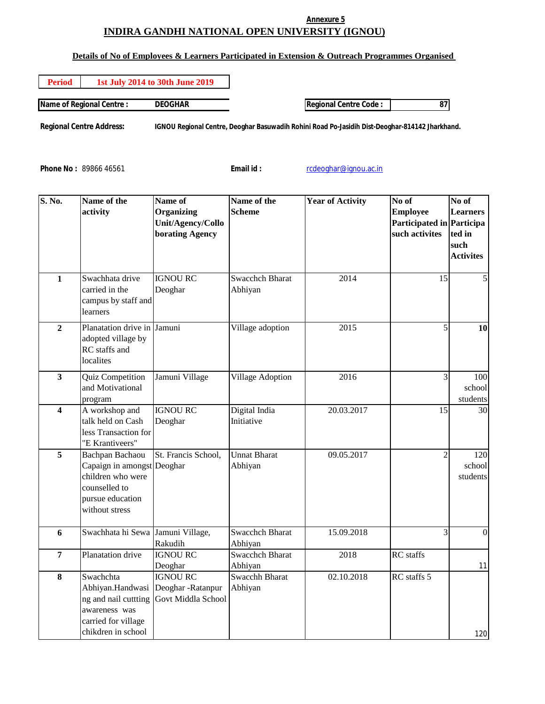## **Annexure 5 INDIRA GANDHI NATIONAL OPEN UNIVERSITY (IGNOU)**

## **Details of No of Employees & Learners Participated in Extension & Outreach Programmes Organised**

| <b>Period</b> | <b>1st July 2014 to 30th June 2019</b> |                |
|---------------|----------------------------------------|----------------|
|               | <b>Name of Regional Centre:</b>        | <b>DEOGHAR</b> |

**Regional Centre Address: IGNOU Regional Centre, Deoghar Basuwadih Rohini Road Po-Jasidih Dist-Deoghar-814142 Jharkhand.**

Phone No : 89866 46561 **Email id :** rcdeoghar@ignou.ac.in

| <b>S. No.</b>           | Name of the<br>activity                                                                                                   | Name of<br>Organizing<br>Unit/Agency/Collo<br><b>borating Agency</b>        | Name of the<br><b>Scheme</b>      | <b>Year of Activity</b> | No of<br><b>Employee</b><br>Participated in Participa<br>such activites | No of<br><b>Learners</b><br>ted in<br>such<br><b>Activites</b> |
|-------------------------|---------------------------------------------------------------------------------------------------------------------------|-----------------------------------------------------------------------------|-----------------------------------|-------------------------|-------------------------------------------------------------------------|----------------------------------------------------------------|
| $\mathbf{1}$            | Swachhata drive<br>carried in the<br>campus by staff and<br>learners                                                      | <b>IGNOU RC</b><br>Deoghar                                                  | <b>Swacchch Bharat</b><br>Abhiyan | 2014                    | 15                                                                      | 5                                                              |
| $\overline{2}$          | Planatation drive in<br>adopted village by<br>RC staffs and<br>localites                                                  | Jamuni                                                                      | Village adoption                  | 2015                    | 5                                                                       | 10                                                             |
| $\overline{\mathbf{3}}$ | <b>Quiz Competition</b><br>and Motivational<br>program                                                                    | Jamuni Village                                                              | Village Adoption                  | 2016                    | 3                                                                       | 100<br>school<br>students                                      |
| $\overline{\mathbf{4}}$ | A workshop and<br>talk held on Cash<br>less Transaction for<br>"E Krantiveers"                                            | <b>IGNOU RC</b><br>Deoghar                                                  | Digital India<br>Initiative       | 20.03.2017              | 15                                                                      | 30                                                             |
| $\overline{5}$          | Bachpan Bachaou<br>Capaign in amongst Deoghar<br>children who were<br>counselled to<br>pursue education<br>without stress | St. Francis School,                                                         | <b>Unnat Bharat</b><br>Abhiyan    | 09.05.2017              | $\mathfrak{D}$                                                          | 120<br>school<br>students                                      |
| 6                       | Swachhata hi Sewa                                                                                                         | Jamuni Village,<br>Rakudih                                                  | <b>Swacchch Bharat</b><br>Abhiyan | 15.09.2018              | 3                                                                       | $\theta$                                                       |
| $\overline{7}$          | Planatation drive                                                                                                         | <b>IGNOU RC</b><br>Deoghar                                                  | <b>Swacchch Bharat</b><br>Abhiyan | 2018                    | <b>RC</b> staffs                                                        | 11                                                             |
| 8                       | Swachchta<br>ng and nail cuttting<br>awareness was<br>carried for village<br>chikdren in school                           | <b>IGNOU RC</b><br>Abhiyan.Handwasi Deoghar -Ratanpur<br>Govt Middla School | <b>Swacchh Bharat</b><br>Abhiyan  | 02.10.2018              | RC staffs 5                                                             | 120                                                            |